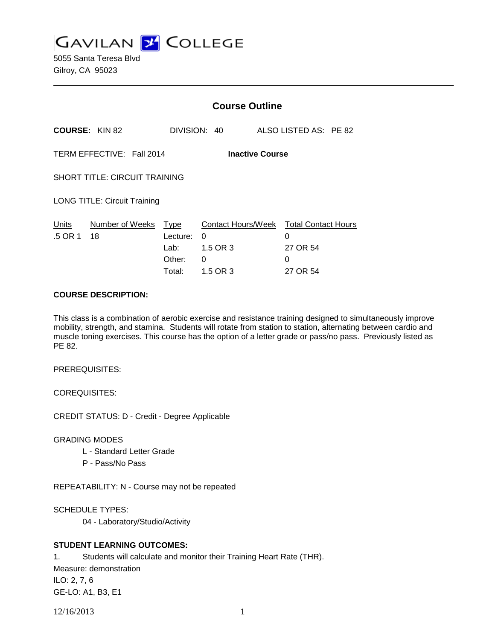**GAVILAN J COLLEGE** 

|                                                     |                       | <b>Course Outline</b>                               |                                                             |  |                                                              |  |
|-----------------------------------------------------|-----------------------|-----------------------------------------------------|-------------------------------------------------------------|--|--------------------------------------------------------------|--|
| <b>COURSE: KIN 82</b>                               |                       | DIVISION: 40                                        |                                                             |  | ALSO LISTED AS: PE 82                                        |  |
| TERM EFFECTIVE: Fall 2014<br><b>Inactive Course</b> |                       |                                                     |                                                             |  |                                                              |  |
| <b>SHORT TITLE: CIRCUIT TRAINING</b>                |                       |                                                     |                                                             |  |                                                              |  |
| <b>LONG TITLE: Circuit Training</b>                 |                       |                                                     |                                                             |  |                                                              |  |
| Units<br>.5 OR 1                                    | Number of Weeks<br>18 | <u>Type</u><br>Lecture:<br>Lab:<br>Other:<br>Total: | Contact Hours/Week<br>$\Omega$<br>1.5 OR 3<br>0<br>1.5 OR 3 |  | <b>Total Contact Hours</b><br>0<br>27 OR 54<br>0<br>27 OR 54 |  |

## **COURSE DESCRIPTION:**

This class is a combination of aerobic exercise and resistance training designed to simultaneously improve mobility, strength, and stamina. Students will rotate from station to station, alternating between cardio and muscle toning exercises. This course has the option of a letter grade or pass/no pass. Previously listed as PE 82.

PREREQUISITES:

COREQUISITES:

CREDIT STATUS: D - Credit - Degree Applicable

GRADING MODES

- L Standard Letter Grade
- P Pass/No Pass

REPEATABILITY: N - Course may not be repeated

SCHEDULE TYPES:

04 - Laboratory/Studio/Activity

# **STUDENT LEARNING OUTCOMES:**

1. Students will calculate and monitor their Training Heart Rate (THR). Measure: demonstration ILO: 2, 7, 6 GE-LO: A1, B3, E1

12/16/2013 1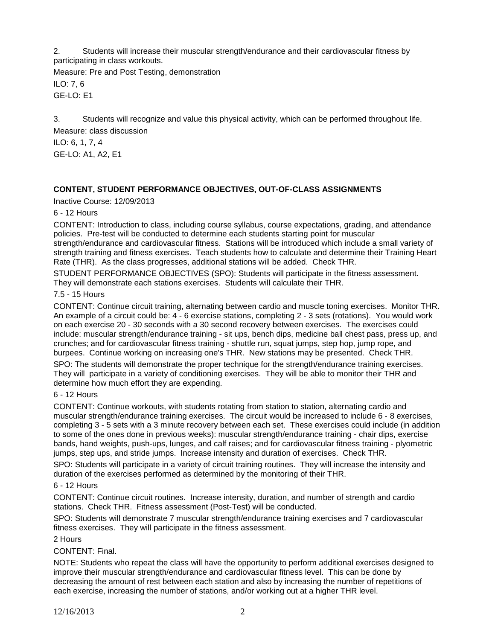2. Students will increase their muscular strength/endurance and their cardiovascular fitness by participating in class workouts.

Measure: Pre and Post Testing, demonstration ILO: 7, 6

GE-LO: E1

3. Students will recognize and value this physical activity, which can be performed throughout life.

Measure: class discussion ILO: 6, 1, 7, 4 GE-LO: A1, A2, E1

# **CONTENT, STUDENT PERFORMANCE OBJECTIVES, OUT-OF-CLASS ASSIGNMENTS**

Inactive Course: 12/09/2013

# 6 - 12 Hours

CONTENT: Introduction to class, including course syllabus, course expectations, grading, and attendance policies. Pre-test will be conducted to determine each students starting point for muscular strength/endurance and cardiovascular fitness. Stations will be introduced which include a small variety of strength training and fitness exercises. Teach students how to calculate and determine their Training Heart Rate (THR). As the class progresses, additional stations will be added. Check THR.

STUDENT PERFORMANCE OBJECTIVES (SPO): Students will participate in the fitness assessment. They will demonstrate each stations exercises. Students will calculate their THR.

### 7.5 - 15 Hours

CONTENT: Continue circuit training, alternating between cardio and muscle toning exercises. Monitor THR. An example of a circuit could be: 4 - 6 exercise stations, completing 2 - 3 sets (rotations). You would work on each exercise 20 - 30 seconds with a 30 second recovery between exercises. The exercises could include: muscular strength/endurance training - sit ups, bench dips, medicine ball chest pass, press up, and crunches; and for cardiovascular fitness training - shuttle run, squat jumps, step hop, jump rope, and burpees. Continue working on increasing one's THR. New stations may be presented. Check THR.

SPO: The students will demonstrate the proper technique for the strength/endurance training exercises. They will participate in a variety of conditioning exercises. They will be able to monitor their THR and determine how much effort they are expending.

#### 6 - 12 Hours

CONTENT: Continue workouts, with students rotating from station to station, alternating cardio and muscular strength/endurance training exercises. The circuit would be increased to include 6 - 8 exercises, completing 3 - 5 sets with a 3 minute recovery between each set. These exercises could include (in addition to some of the ones done in previous weeks): muscular strength/endurance training - chair dips, exercise bands, hand weights, push-ups, lunges, and calf raises; and for cardiovascular fitness training - plyometric jumps, step ups, and stride jumps. Increase intensity and duration of exercises. Check THR.

SPO: Students will participate in a variety of circuit training routines. They will increase the intensity and duration of the exercises performed as determined by the monitoring of their THR.

#### 6 - 12 Hours

CONTENT: Continue circuit routines. Increase intensity, duration, and number of strength and cardio stations. Check THR. Fitness assessment (Post-Test) will be conducted.

SPO: Students will demonstrate 7 muscular strength/endurance training exercises and 7 cardiovascular fitness exercises. They will participate in the fitness assessment.

2 Hours

# CONTENT: Final.

NOTE: Students who repeat the class will have the opportunity to perform additional exercises designed to improve their muscular strength/endurance and cardiovascular fitness level. This can be done by decreasing the amount of rest between each station and also by increasing the number of repetitions of each exercise, increasing the number of stations, and/or working out at a higher THR level.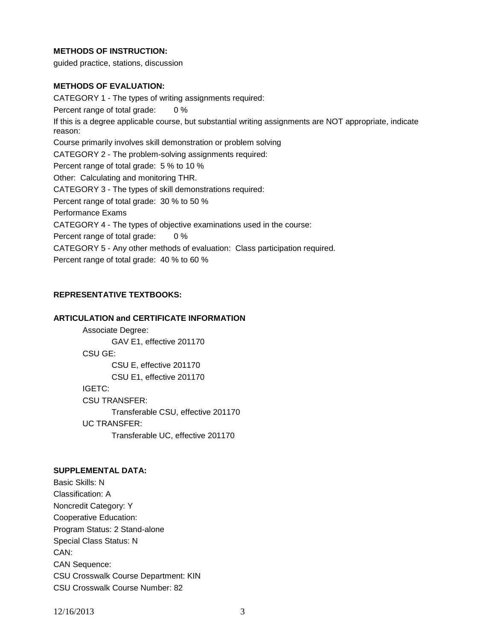# **METHODS OF INSTRUCTION:**

guided practice, stations, discussion

### **METHODS OF EVALUATION:**

CATEGORY 1 - The types of writing assignments required: Percent range of total grade: 0 % If this is a degree applicable course, but substantial writing assignments are NOT appropriate, indicate reason: Course primarily involves skill demonstration or problem solving CATEGORY 2 - The problem-solving assignments required: Percent range of total grade: 5 % to 10 % Other: Calculating and monitoring THR. CATEGORY 3 - The types of skill demonstrations required: Percent range of total grade: 30 % to 50 % Performance Exams CATEGORY 4 - The types of objective examinations used in the course: Percent range of total grade: 0 % CATEGORY 5 - Any other methods of evaluation: Class participation required. Percent range of total grade: 40 % to 60 %

#### **REPRESENTATIVE TEXTBOOKS:**

#### **ARTICULATION and CERTIFICATE INFORMATION**

Associate Degree: GAV E1, effective 201170 CSU GE: CSU E, effective 201170 CSU E1, effective 201170 IGETC: CSU TRANSFER: Transferable CSU, effective 201170 UC TRANSFER: Transferable UC, effective 201170

#### **SUPPLEMENTAL DATA:**

Basic Skills: N Classification: A Noncredit Category: Y Cooperative Education: Program Status: 2 Stand-alone Special Class Status: N CAN: CAN Sequence: CSU Crosswalk Course Department: KIN CSU Crosswalk Course Number: 82